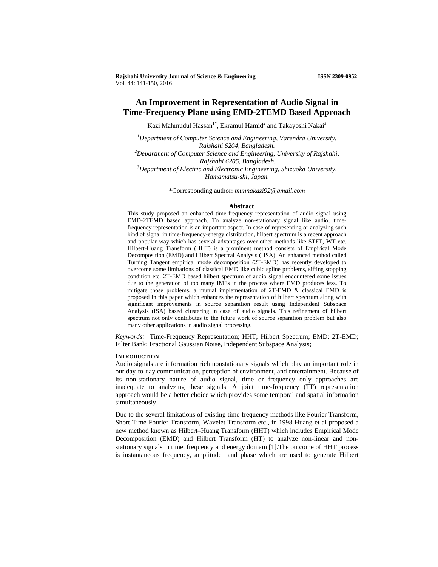**Rajshahi University Journal of Science & Engineering ISSN 2309-0952** Vol. 44: 141-150, 2016

# **An Improvement in Representation of Audio Signal in Time-Frequency Plane using EMD-2TEMD Based Approach**

Kazi Mahmudul Hassan $^{1*}$ , Ekramul Hamid $^{2}$  and Takayoshi Nakai $^{3}$ 

*1 Department of Computer Science and Engineering, Varendra University, Rajshahi 6204, Bangladesh. 2 Department of Computer Science and Engineering, University of Rajshahi, Rajshahi 6205, Bangladesh. 3 Department of Electric and Electronic Engineering, Shizuoka University, Hamamatsu-shi, Japan.* 

\*Corresponding author: *munnakazi92@gmail.com* 

#### **Abstract**

This study proposed an enhanced time-frequency representation of audio signal using EMD-2TEMD based approach. To analyze non-stationary signal like audio, timefrequency representation is an important aspect. In case of representing or analyzing such kind of signal in time-frequency-energy distribution, hilbert spectrum is a recent approach and popular way which has several advantages over other methods like STFT, WT etc. Hilbert-Huang Transform (HHT) is a prominent method consists of Empirical Mode Decomposition (EMD) and Hilbert Spectral Analysis (HSA). An enhanced method called Turning Tangent empirical mode decomposition (2T-EMD) has recently developed to overcome some limitations of classical EMD like cubic spline problems, sifting stopping condition etc. 2T-EMD based hilbert spectrum of audio signal encountered some issues due to the generation of too many IMFs in the process where EMD produces less. To mitigate those problems, a mutual implementation of 2T-EMD & classical EMD is proposed in this paper which enhances the representation of hilbert spectrum along with significant improvements in source separation result using Independent Subspace Analysis (ISA) based clustering in case of audio signals. This refinement of hilbert spectrum not only contributes to the future work of source separation problem but also many other applications in audio signal processing.

*Keywords:* Time-Frequency Representation; HHT; Hilbert Spectrum; EMD; 2T-EMD; Filter Bank; Fractional Gaussian Noise, Independent Subspace Analysis;

### **INTRODUCTION**

Audio signals are information rich nonstationary signals which play an important role in our day-to-day communication, perception of environment, and entertainment. Because of its non-stationary nature of audio signal, time or frequency only approaches are inadequate to analyzing these signals. A joint time-frequency (TF) representation approach would be a better choice which provides some temporal and spatial information simultaneously.

Due to the several limitations of existing time-frequency methods like Fourier Transform, Short-Time Fourier Transform, Wavelet Transform etc., in 1998 Huang et al proposed a new method known as Hilbert–Huang Transform (HHT) which includes Empirical Mode Decomposition (EMD) and Hilbert Transform (HT) to analyze non-linear and nonstationary signals in time, frequency and energy domain [1].The outcome of HHT process is instantaneous frequency, amplitude and phase which are used to generate Hilbert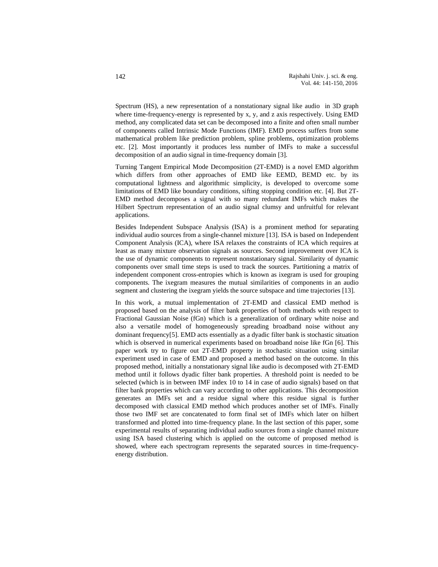Spectrum (HS), a new representation of a nonstationary signal like audio in 3D graph where time-frequency-energy is represented by x, y, and z axis respectively. Using EMD method, any complicated data set can be decomposed into a finite and often small number of components called Intrinsic Mode Functions (IMF). EMD process suffers from some mathematical problem like prediction problem, spline problems, optimization problems etc. [2]. Most importantly it produces less number of IMFs to make a successful decomposition of an audio signal in time-frequency domain [3].

Turning Tangent Empirical Mode Decomposition (2T-EMD) is a novel EMD algorithm which differs from other approaches of EMD like EEMD, BEMD etc. by its computational lightness and algorithmic simplicity, is developed to overcome some limitations of EMD like boundary conditions, sifting stopping condition etc. [4]. But 2T-EMD method decomposes a signal with so many redundant IMFs which makes the Hilbert Spectrum representation of an audio signal clumsy and unfruitful for relevant applications.

Besides Independent Subspace Analysis (ISA) is a prominent method for separating individual audio sources from a single-channel mixture [13]. ISA is based on Independent Component Analysis (ICA), where ISA relaxes the constraints of ICA which requires at least as many mixture observation signals as sources. Second improvement over ICA is the use of dynamic components to represent nonstationary signal. Similarity of dynamic components over small time steps is used to track the sources. Partitioning a matrix of independent component cross-entropies which is known as ixegram is used for grouping components. The ixegram measures the mutual similarities of components in an audio segment and clustering the ixegram yields the source subspace and time trajectories [13].

In this work, a mutual implementation of 2T-EMD and classical EMD method is proposed based on the analysis of filter bank properties of both methods with respect to Fractional Gaussian Noise (fGn) which is a generalization of ordinary white noise and also a versatile model of homogeneously spreading broadband noise without any dominant frequency[5]. EMD acts essentially as a dyadic filter bank is stochastic situation which is observed in numerical experiments based on broadband noise like fGn [6]. This paper work try to figure out 2T-EMD property in stochastic situation using similar experiment used in case of EMD and proposed a method based on the outcome. In this proposed method, initially a nonstationary signal like audio is decomposed with 2T-EMD method until it follows dyadic filter bank properties. A threshold point is needed to be selected (which is in between IMF index 10 to 14 in case of audio signals) based on that filter bank properties which can vary according to other applications. This decomposition generates an IMFs set and a residue signal where this residue signal is further decomposed with classical EMD method which produces another set of IMFs. Finally those two IMF set are concatenated to form final set of IMFs which later on hilbert transformed and plotted into time-frequency plane. In the last section of this paper, some experimental results of separating individual audio sources from a single channel mixture using ISA based clustering which is applied on the outcome of proposed method is showed, where each spectrogram represents the separated sources in time-frequencyenergy distribution.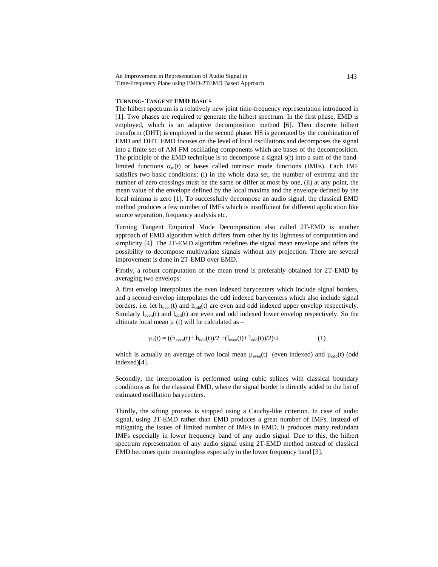### **TURNING- TANGENT EMD BASICS**

The hilbert spectrum is a relatively new joint time-frequency representation introduced in [1]. Two phases are required to generate the hilbert spectrum. In the first phase, EMD is employed, which is an adaptive decomposition method [6]. Then discrete hilbert transform (DHT) is employed in the second phase. HS is generated by the combination of EMD and DHT. EMD focuses on the level of local oscillations and decomposes the signal into a finite set of AM-FM oscillating components which are bases of the decomposition. The principle of the EMD technique is to decompose a signal s(*t*) into a sum of the bandlimited functions  $\alpha_{m}(t)$  or bases called intrinsic mode functions (IMFs). Each IMF satisfies two basic conditions: (i) in the whole data set, the number of extrema and the number of zero crossings must be the same or differ at most by one, (ii) at any point, the mean value of the envelope defined by the local maxima and the envelope defined by the local minima is zero [1]. To successfully decompose an audio signal, the classical EMD method produces a few number of IMFs which is insufficient for different application like source separation, frequency analysis etc.

Turning Tangent Empirical Mode Decomposition also called 2T-EMD is another approach of EMD algorithm which differs from other by its lightness of computation and simplicity [4]. The 2T-EMD algorithm redefines the signal mean envelope and offers the possibility to decompose multivariate signals without any projection. There are several improvement is done in 2T-EMD over EMD.

Firstly, a robust computation of the mean trend is preferably obtained for 2T-EMD by averaging two envelops:

A first envelop interpolates the even indexed barycenters which include signal borders, and a second envelop interpolates the odd indexed barycenters which also include signal borders. i.e. let  $h_{even}(t)$  and  $h_{odd}(t)$  are even and odd indexed upper envelop respectively. Similarly  $l_{even}(t)$  and  $l_{odd}(t)$  are even and odd indexed lower envelop respectively. So the ultimate local mean  $\mu_1(t)$  will be calculated as –

$$
\mu_1(t) = ((h_{even}(t) + h_{odd}(t))/2 + (l_{even}(t) + l_{odd}(t))/2)/2 \tag{1}
$$

which is actually an average of two local mean  $\mu_{even}(t)$  (even indexed) and  $\mu_{odd}(t)$  (odd indexed)[4].

Secondly, the interpolation is performed using cubic splines with classical boundary conditions as for the classical EMD, where the signal border is directly added to the list of estimated oscillation barycenters.

Thirdly, the sifting process is stopped using a Cauchy-like criterion. In case of audio signal, using 2T-EMD rather than EMD produces a great number of IMFs. Instead of mitigating the issues of limited number of IMFs in EMD, it produces many redundant IMFs especially in lower frequency band of any audio signal. Due to this, the hilbert spectrum representation of any audio signal using 2T-EMD method instead of classical EMD becomes quite meaningless especially in the lower frequency band [3].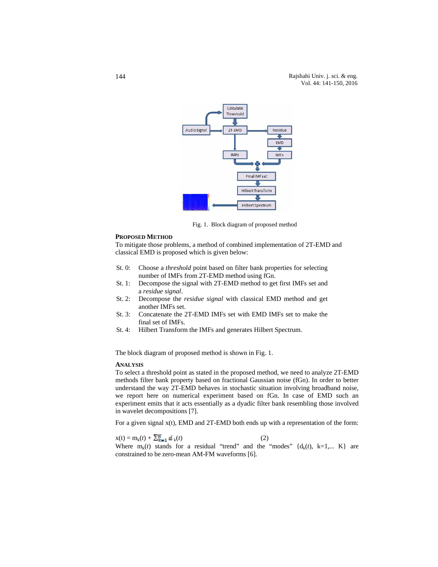

Fig. 1. Block diagram of proposed method

## **PROPOSED METHOD**

To mitigate those problems, a method of combined implementation of 2T-EMD and classical EMD is proposed which is given below:

- St. 0: Choose a *threshold* point based on filter bank properties for selecting number of IMFs from 2T-EMD method using fGn.
- St. 1: Decompose the signal with 2T-EMD method to get first IMFs set and a *residue signal*.
- St. 2: Decompose the *residue signal* with classical EMD method and get another IMFs set.
- St. 3: Concatenate the 2T-EMD IMFs set with EMD IMFs set to make the final set of IMFs.
- St. 4: Hilbert Transform the IMFs and generates Hilbert Spectrum.

The block diagram of proposed method is shown in Fig. 1.

# **ANALYSIS**

To select a threshold point as stated in the proposed method, we need to analyze 2T-EMD methods filter bank property based on fractional Gaussian noise (fGn). In order to better understand the way 2T-EMD behaves in stochastic situation involving broadband noise, we report here on numerical experiment based on fGn. In case of EMD such an experiment emits that it acts essentially as a dyadic filter bank resembling those involved in wavelet decompositions [7].

For a given signal  $x(t)$ , EMD and 2T-EMD both ends up with a representation of the form:

$$
x(t) = m_k(t) + \sum_{k=1}^{K} d_k(t)
$$
 (2)

Where  $m_k(t)$  stands for a residual "trend" and the "modes"  $\{d_k(t), k=1,... K\}$  are constrained to be zero-mean AM-FM waveforms [6].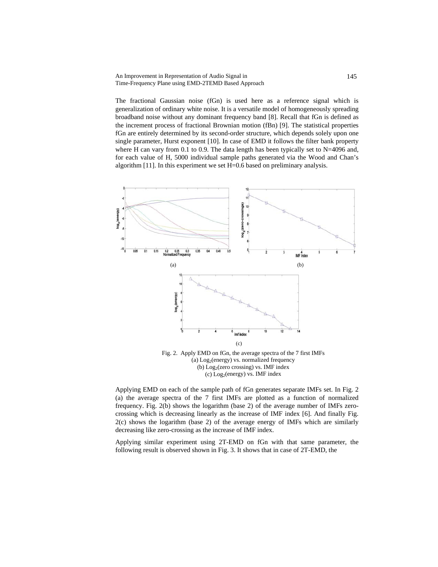The fractional Gaussian noise (fGn) is used here as a reference signal which is generalization of ordinary white noise. It is a versatile model of homogeneously spreading broadband noise without any dominant frequency band [8]. Recall that fGn is defined as the increment process of fractional Brownian motion (fBn) [9]. The statistical properties fGn are entirely determined by its second-order structure, which depends solely upon one single parameter, Hurst exponent [10]. In case of EMD it follows the filter bank property where H can vary from 0.1 to 0.9. The data length has been typically set to  $N=4096$  and, for each value of H, 5000 individual sample paths generated via the Wood and Chan's algorithm [11]. In this experiment we set H=0.6 based on preliminary analysis.



Applying EMD on each of the sample path of fGn generates separate IMFs set. In Fig. 2 (a) the average spectra of the 7 first IMFs are plotted as a function of normalized frequency. Fig. 2(b) shows the logarithm (base 2) of the average number of IMFs zerocrossing which is decreasing linearly as the increase of IMF index [6]. And finally Fig. 2(c) shows the logarithm (base 2) of the average energy of IMFs which are similarly

Applying similar experiment using 2T-EMD on fGn with that same parameter, the following result is observed shown in Fig. 3. It shows that in case of 2T-EMD, the

decreasing like zero-crossing as the increase of IMF index.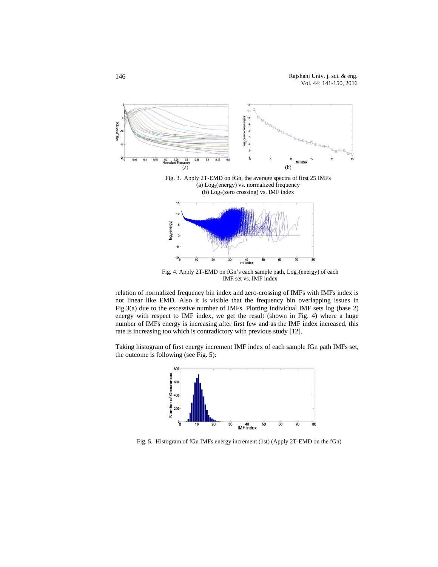

relation of normalized frequency bin index and zero-crossing of IMFs with IMFs index is not linear like EMD. Also it is visible that the frequency bin overlapping issues in Fig.3(a) due to the excessive number of IMFs. Plotting individual IMF sets log (base 2) energy with respect to IMF index, we get the result (shown in Fig. 4) where a huge number of IMFs energy is increasing after first few and as the IMF index increased, this rate is increasing too which is contradictory with previous study [12].

Taking histogram of first energy increment IMF index of each sample fGn path IMFs set, the outcome is following (see Fig. 5):



Fig. 5. Histogram of fGn IMFs energy increment (1st) (Apply 2T-EMD on the fGn)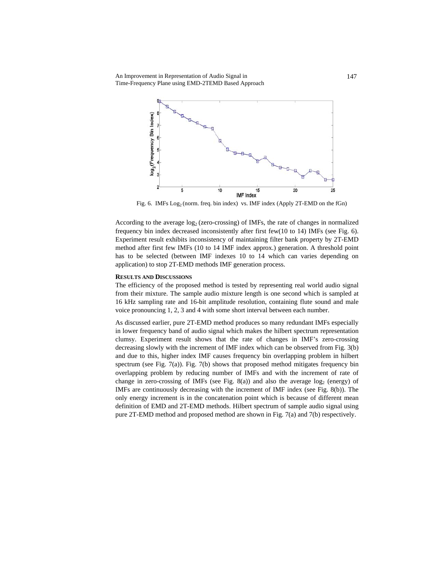

Fig. 6. IMFs Log<sub>2</sub> (norm. freq. bin index) vs. IMF index (Apply 2T-EMD on the fGn)

According to the average  $log_2$  (zero-crossing) of IMFs, the rate of changes in normalized frequency bin index decreased inconsistently after first few(10 to 14) IMFs (see Fig. 6). Experiment result exhibits inconsistency of maintaining filter bank property by 2T-EMD method after first few IMFs (10 to 14 IMF index approx.) generation. A threshold point has to be selected (between IMF indexes 10 to 14 which can varies depending on application) to stop 2T-EMD methods IMF generation process.

## **RESULTS AND DISCUSSIONS**

The efficiency of the proposed method is tested by representing real world audio signal from their mixture. The sample audio mixture length is one second which is sampled at 16 kHz sampling rate and 16-bit amplitude resolution, containing flute sound and male voice pronouncing 1, 2, 3 and 4 with some short interval between each number.

As discussed earlier, pure 2T-EMD method produces so many redundant IMFs especially in lower frequency band of audio signal which makes the hilbert spectrum representation clumsy. Experiment result shows that the rate of changes in IMF's zero-crossing decreasing slowly with the increment of IMF index which can be observed from Fig. 3(b) and due to this, higher index IMF causes frequency bin overlapping problem in hilbert spectrum (see Fig.  $7(a)$ ). Fig.  $7(b)$  shows that proposed method mitigates frequency bin overlapping problem by reducing number of IMFs and with the increment of rate of change in zero-crossing of IMFs (see Fig. 8(a)) and also the average  $log_2$  (energy) of IMFs are continuously decreasing with the increment of IMF index (see Fig. 8(b)). The only energy increment is in the concatenation point which is because of different mean definition of EMD and 2T-EMD methods. Hilbert spectrum of sample audio signal using pure 2T-EMD method and proposed method are shown in Fig. 7(a) and 7(b) respectively.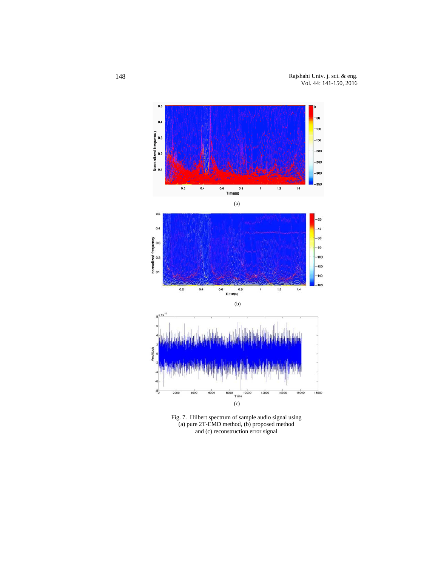

Fig. 7. Hilbert spectrum of sample audio signal using (a) pure 2T-EMD method, (b) proposed method and (c) reconstruction error signal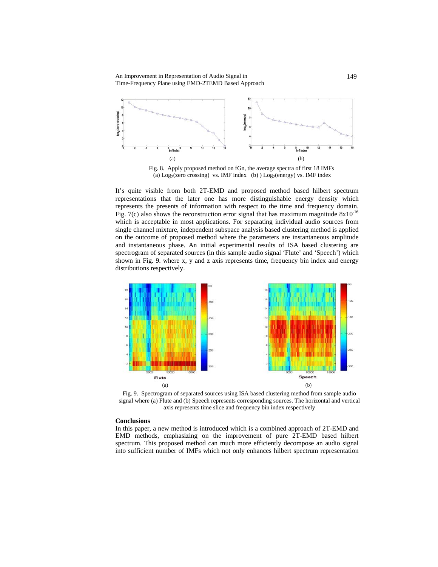

Fig. 8. Apply proposed method on fGn, the average spectra of first 18 IMFs (a)  $Log_2$ (zero crossing) vs. IMF index (b)  $Log_2$ (energy) vs. IMF index

It's quite visible from both 2T-EMD and proposed method based hilbert spectrum representations that the later one has more distinguishable energy density which represents the presents of information with respect to the time and frequency domain. Fig. 7(c) also shows the reconstruction error signal that has maximum magnitude  $8x10^{-16}$ which is acceptable in most applications. For separating individual audio sources from single channel mixture, independent subspace analysis based clustering method is applied on the outcome of proposed method where the parameters are instantaneous amplitude and instantaneous phase. An initial experimental results of ISA based clustering are spectrogram of separated sources (in this sample audio signal 'Flute' and 'Speech') which shown in Fig. 9. where x, y and z axis represents time, frequency bin index and energy distributions respectively.



Fig. 9. Spectrogram of separated sources using ISA based clustering method from sample audio signal where (a) Flute and (b) Speech represents corresponding sources. The horizontal and vertical axis represents time slice and frequency bin index respectively

# **Conclusions**

In this paper, a new method is introduced which is a combined approach of 2T-EMD and EMD methods, emphasizing on the improvement of pure 2T-EMD based hilbert spectrum. This proposed method can much more efficiently decompose an audio signal into sufficient number of IMFs which not only enhances hilbert spectrum representation